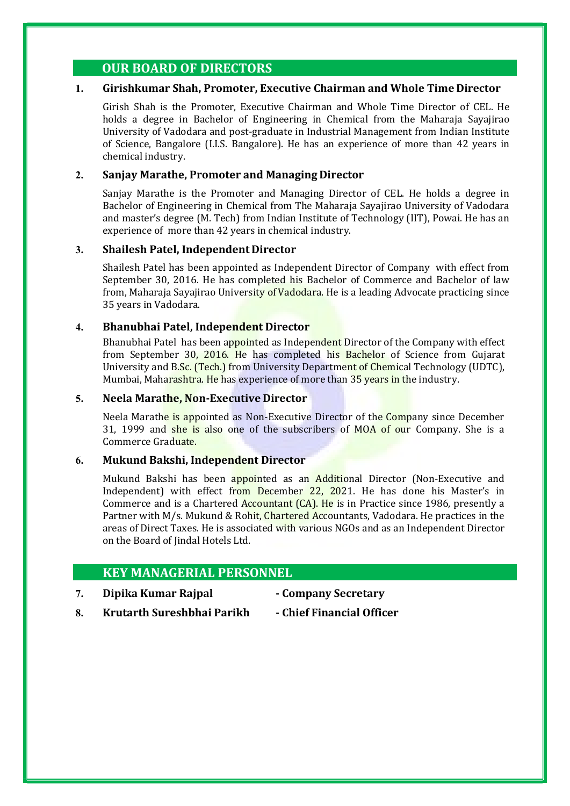## OUR BOARD OF DIRECTORS

## 1. Girishkumar Shah, Promoter, Executive Chairman and Whole Time Director

Girish Shah is the Promoter, Executive Chairman and Whole Time Director of CEL. He holds a degree in Bachelor of Engineering in Chemical from the Maharaja Sayajirao University of Vadodara and post-graduate in Industrial Management from Indian Institute of Science, Bangalore (I.I.S. Bangalore). He has an experience of more than 42 years in chemical industry.

### 2. Sanjay Marathe, Promoter and Managing Director

Sanjay Marathe is the Promoter and Managing Director of CEL. He holds a degree in Bachelor of Engineering in Chemical from The Maharaja Sayajirao University of Vadodara and master's degree (M. Tech) from Indian Institute of Technology (IIT), Powai. He has an experience of more than 42 years in chemical industry.

### 3. Shailesh Patel, Independent Director

Shailesh Patel has been appointed as Independent Director of Company with effect from September 30, 2016. He has completed his Bachelor of Commerce and Bachelor of law from, Maharaja Sayajirao University of Vadodara. He is a leading Advocate practicing since 35 years in Vadodara.

### 4. Bhanubhai Patel, Independent Director

Bhanubhai Patel has been appointed as Independent Director of the Company with effect from September 30, 2016. He has completed his Bachelor of Science from Gujarat University and B.Sc. (Tech.) from University Department of Chemical Technology (UDTC), Mumbai, Maharashtra. He has experience of more than 35 years in the industry.

### 5. Neela Marathe, Non-Executive Director

Neela Marathe is appointed as Non-Executive Director of the Company since December 31, 1999 and she is also one of the subscribers of MOA of our Company. She is a Commerce Graduate.

## 6. Mukund Bakshi, Independent Director

Mukund Bakshi has been appointed as an Additional Director (Non-Executive and Independent) with effect from December 22, 2021. He has done his Master's in Commerce and is a Chartered Accountant (CA). He is in Practice since 1986, presently a Partner with M/s. Mukund & Rohit, Chartered Accountants, Vadodara. He practices in the areas of Direct Taxes. He is associated with various NGOs and as an Independent Director on the Board of Jindal Hotels Ltd.

## KEY MANAGERIAL PERSONNEL

7. Dipika Kumar Rajpal - Company Secretary

- 
- 8. Krutarth Sureshbhai Parikh Chief Financial Officer
-